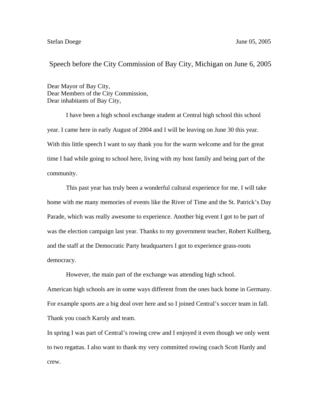## Speech before the City Commission of Bay City, Michigan on June 6, 2005

Dear Mayor of Bay City, Dear Members of the City Commission, Dear inhabitants of Bay City,

I have been a high school exchange student at Central high school this school year. I came here in early August of 2004 and I will be leaving on June 30 this year. With this little speech I want to say thank you for the warm welcome and for the great time I had while going to school here, living with my host family and being part of the community.

This past year has truly been a wonderful cultural experience for me. I will take home with me many memories of events like the River of Time and the St. Patrick's Day Parade, which was really awesome to experience. Another big event I got to be part of was the election campaign last year. Thanks to my government teacher, Robert Kullberg, and the staff at the Democratic Party headquarters I got to experience grass-roots democracy.

However, the main part of the exchange was attending high school. American high schools are in some ways different from the ones back home in Germany. For example sports are a big deal over here and so I joined Central's soccer team in fall. Thank you coach Karoly and team.

In spring I was part of Central's rowing crew and I enjoyed it even though we only went to two regattas. I also want to thank my very committed rowing coach Scott Hardy and crew.